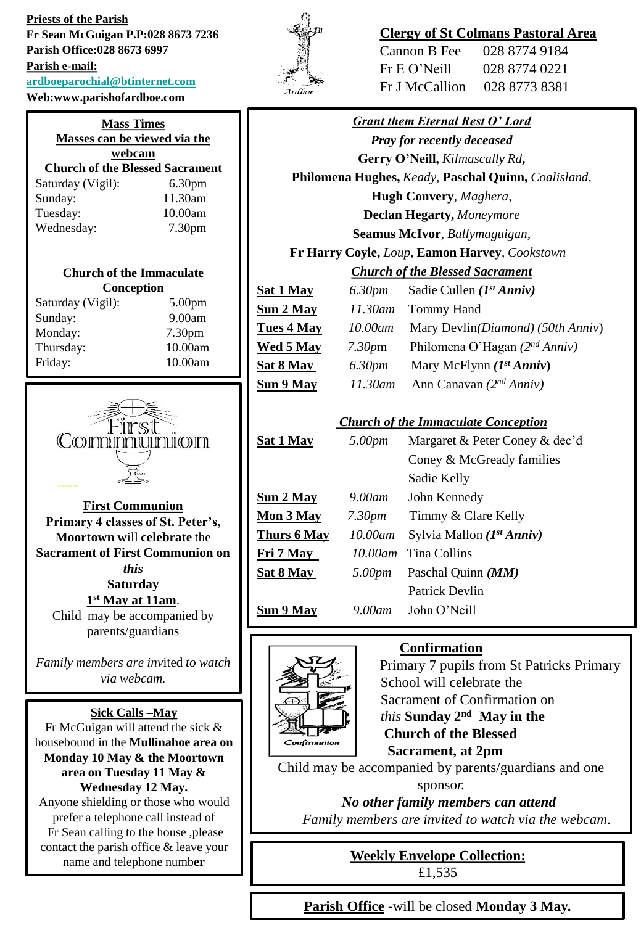**Priests of the Parish Fr Sean McGuigan P.P:028 8673 7236 Parish Office:028 8673 6997 Parish e-mail: [ardboeparochial@btinternet.com](mailto:ardboeparochial@btinternet.com)** Web:w

| /eb:www.parishofardboe.com                                  |                    |  |                                        |                    |  |
|-------------------------------------------------------------|--------------------|--|----------------------------------------|--------------------|--|
| <b>Mass Times</b><br>Masses can be viewed via the<br>webcam |                    |  |                                        |                    |  |
|                                                             |                    |  | <b>Church of the Blessed Sacrament</b> |                    |  |
|                                                             |                    |  | Saturday (Vigil):                      | 6.30 <sub>pm</sub> |  |
| Sunday:                                                     | 11.30am            |  |                                        |                    |  |
| Tuesday:                                                    | 10.00am            |  |                                        |                    |  |
| Wednesday:                                                  | 7.30 <sub>pm</sub> |  |                                        |                    |  |

## **Church of the Immaculate Conception**

| Saturday (Vigil): | 5.00 <sub>pm</sub> |
|-------------------|--------------------|
| Sunday:           | 9.00am             |
| Monday:           | 7.30pm             |
| Thursday:         | 10.00am            |
| Friday:           | 10.00am            |



**First Communion Primary 4 classes of St. Peter's, Moortown w**ill **celebrate** the **Sacrament of First Communion on**  *this*  **Saturday 1 st May at 11am**.

Child may be accompanied by parents/guardians

*Family members are inv*ited *to watch via webcam.*

## **Sick Calls –May**

Fr McGuigan will attend the sick & housebound in the **Mullinahoe area on Monday 10 May & the Moortown area on Tuesday 11 May & Wednesday 12 May.** Anyone shielding or those who would prefer a telephone call instead of Fr Sean calling to the house ,please contact the parish office & leave your name and telephone numb**er**



# **Clergy of St Colmans Pastoral Area**

| Cannon B Fee   | 028 8774 9184 |
|----------------|---------------|
| Fr E O' Neill  | 028 8774 0221 |
| Fr J McCallion | 028 8773 8381 |

| <b>Grant them Eternal Rest O' Lord</b>        |                    |                                                     |  |
|-----------------------------------------------|--------------------|-----------------------------------------------------|--|
| <b>Pray for recently deceased</b>             |                    |                                                     |  |
| Gerry O'Neill, Kilmascally Rd,                |                    |                                                     |  |
|                                               |                    | Philomena Hughes, Keady, Paschal Quinn, Coalisland, |  |
| <b>Hugh Convery</b> , Maghera,                |                    |                                                     |  |
| <b>Declan Hegarty, Moneymore</b>              |                    |                                                     |  |
| Seamus McIvor, Ballymaguigan,                 |                    |                                                     |  |
| Fr Harry Coyle, Loup, Eamon Harvey, Cookstown |                    |                                                     |  |
| <b>Church of the Blessed Sacrament</b>        |                    |                                                     |  |
| <u>Sat 1 May</u>                              | 6.30pm             | Sadie Cullen $(I^{st} Anniv)$                       |  |
| Sun 2 May                                     | 11.30am            | Tommy Hand                                          |  |
| Tues 4 May                                    | 10.00am            | Mary Devlin(Diamond) (50th Anniv)                   |  |
| <u>Wed 5 May</u>                              | 7.30 <sub>pm</sub> | Philomena O'Hagan $(2^{nd} Anniv)$                  |  |
| <u>Sat 8 May</u>                              | 6.30pm             | Mary McFlynn $(I^{st} Anniv)$                       |  |
| Sun 9 May                                     | 11.30am            | Ann Canavan $(2^{nd} Anniv)$                        |  |
|                                               |                    | <b>Church of the Immaculate Conception</b>          |  |
| <b>Sat 1 May</b>                              | 5.00pm             | Margaret & Peter Coney & dec'd                      |  |
|                                               |                    | Coney & McGready families                           |  |
|                                               |                    | Sadie Kelly                                         |  |
| Sun 2 May                                     | 9.00am             | John Kennedy                                        |  |
| <u>Mon 3 May</u>                              | 7.30 <sub>pm</sub> | Timmy & Clare Kelly                                 |  |
| <b>Thurs 6 May</b>                            | 10.00am            | Sylvia Mallon (1st Anniv)                           |  |
| <u>Fri 7 May </u>                             | $10.00$ am         | <b>Tina Collins</b>                                 |  |
| Sat 8 May                                     | 5.00pm             | Paschal Quinn (MM)                                  |  |
|                                               |                    | <b>Patrick Devlin</b>                               |  |
| Sun 9 May                                     | 9.00am             | John O'Neill                                        |  |



## **Confirmation**



Child may be accompanied by parents/guardians and one sponso*r.*

*No other family members can attend*

*Family members are invited to watch via the webcam*.

**Weekly Envelope Collection:** £1,535

**Parish Office** -will be closed **Monday 3 May.**